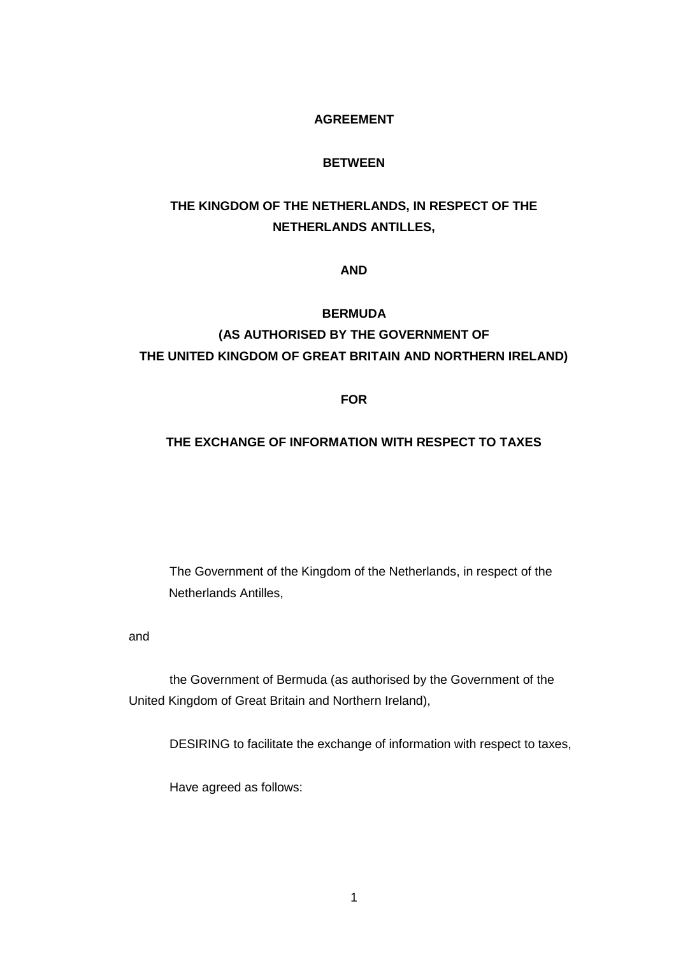## **AGREEMENT**

#### **BETWEEN**

# **THE KINGDOM OF THE NETHERLANDS, IN RESPECT OF THE NETHERLANDS ANTILLES,**

#### **AND**

### **BERMUDA**

# **(AS AUTHORISED BY THE GOVERNMENT OF THE UNITED KINGDOM OF GREAT BRITAIN AND NORTHERN IRELAND)**

#### **FOR**

## **THE EXCHANGE OF INFORMATION WITH RESPECT TO TAXES**

The Government of the Kingdom of the Netherlands, in respect of the Netherlands Antilles,

#### and

the Government of Bermuda (as authorised by the Government of the United Kingdom of Great Britain and Northern Ireland),

DESIRING to facilitate the exchange of information with respect to taxes,

Have agreed as follows: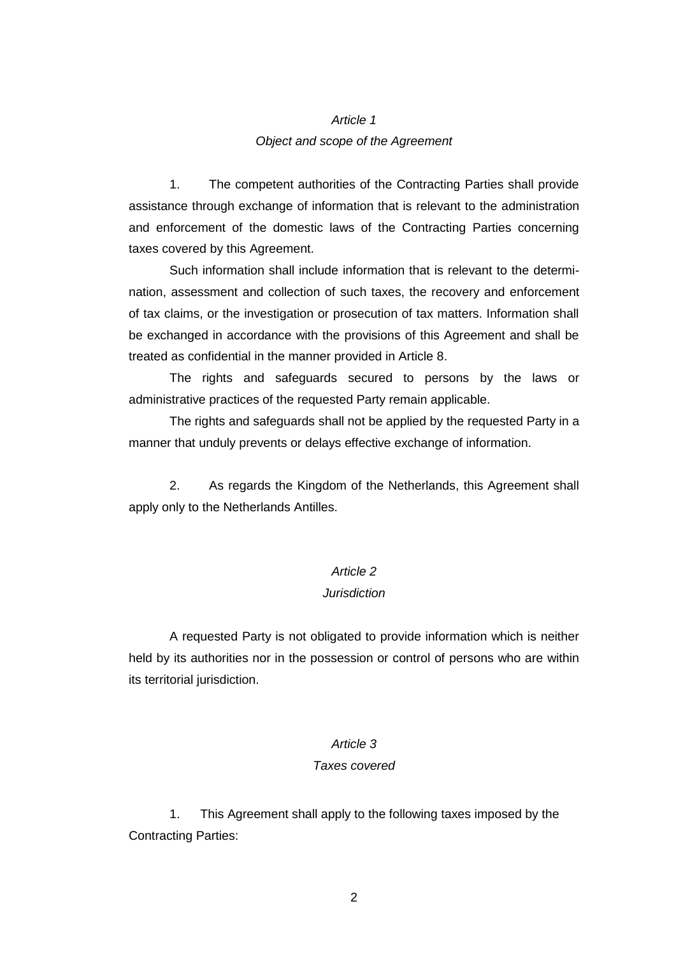## *Article 1 Object and scope of the Agreement*

1. The competent authorities of the Contracting Parties shall provide assistance through exchange of information that is relevant to the administration and enforcement of the domestic laws of the Contracting Parties concerning taxes covered by this Agreement.

Such information shall include information that is relevant to the determination, assessment and collection of such taxes, the recovery and enforcement of tax claims, or the investigation or prosecution of tax matters. Information shall be exchanged in accordance with the provisions of this Agreement and shall be treated as confidential in the manner provided in Article 8.

The rights and safeguards secured to persons by the laws or administrative practices of the requested Party remain applicable.

The rights and safeguards shall not be applied by the requested Party in a manner that unduly prevents or delays effective exchange of information.

2. As regards the Kingdom of the Netherlands, this Agreement shall apply only to the Netherlands Antilles.

#### *Article 2*

#### *Jurisdiction*

A requested Party is not obligated to provide information which is neither held by its authorities nor in the possession or control of persons who are within its territorial jurisdiction.

## *Article 3*

#### *Taxes covered*

1. This Agreement shall apply to the following taxes imposed by the Contracting Parties: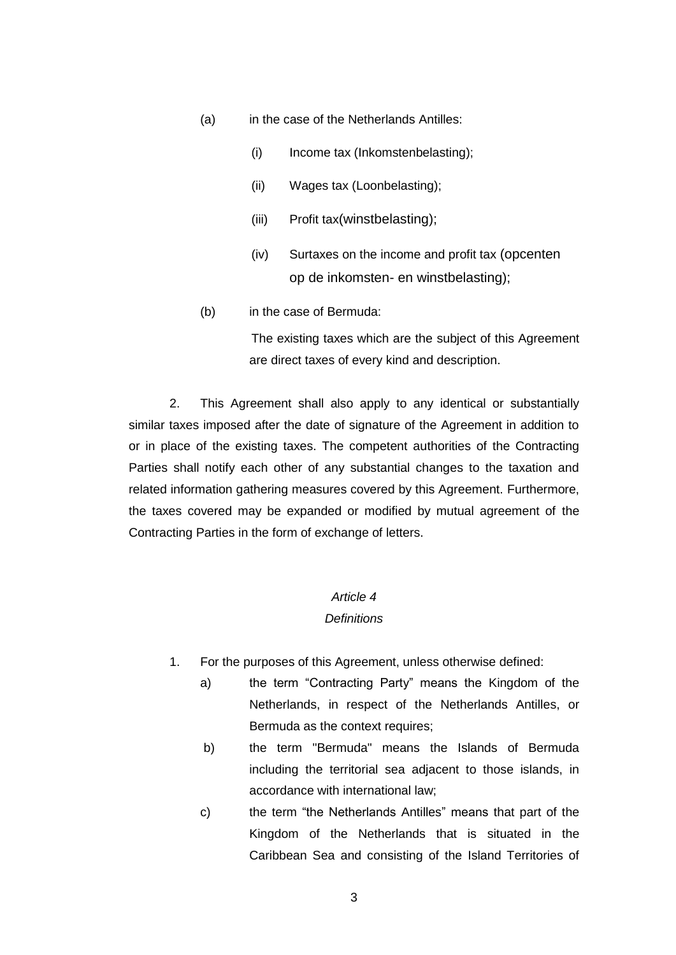- (a) in the case of the Netherlands Antilles:
	- (i) Income tax (Inkomstenbelasting);
	- (ii) Wages tax (Loonbelasting);
	- (iii) Profit tax(winstbelasting);
	- (iv) Surtaxes on the income and profit tax (opcenten op de inkomsten- en winstbelasting);
- (b) in the case of Bermuda:

The existing taxes which are the subject of this Agreement are direct taxes of every kind and description.

2. This Agreement shall also apply to any identical or substantially similar taxes imposed after the date of signature of the Agreement in addition to or in place of the existing taxes. The competent authorities of the Contracting Parties shall notify each other of any substantial changes to the taxation and related information gathering measures covered by this Agreement. Furthermore, the taxes covered may be expanded or modified by mutual agreement of the Contracting Parties in the form of exchange of letters.

#### *Article 4*

#### *Definitions*

- 1. For the purposes of this Agreement, unless otherwise defined:
	- a) the term "Contracting Party" means the Kingdom of the Netherlands, in respect of the Netherlands Antilles, or Bermuda as the context requires;
	- b) the term "Bermuda" means the Islands of Bermuda including the territorial sea adjacent to those islands, in accordance with international law;
	- c) the term "the Netherlands Antilles" means that part of the Kingdom of the Netherlands that is situated in the Caribbean Sea and consisting of the Island Territories of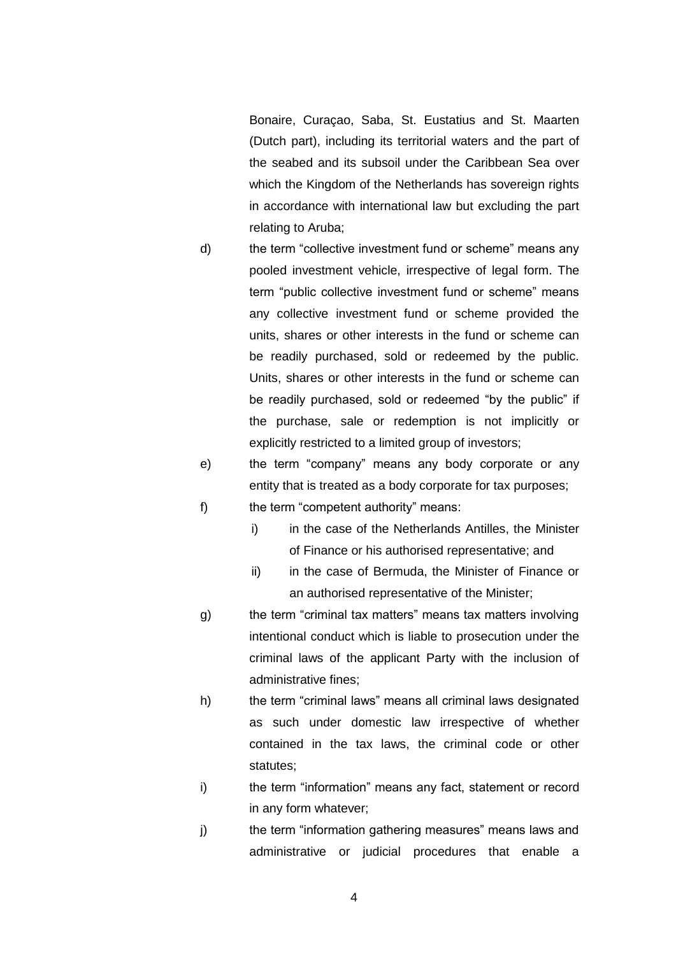Bonaire, Curaçao, Saba, St. Eustatius and St. Maarten (Dutch part), including its territorial waters and the part of the seabed and its subsoil under the Caribbean Sea over which the Kingdom of the Netherlands has sovereign rights in accordance with international law but excluding the part relating to Aruba;

- d) the term "collective investment fund or scheme" means any pooled investment vehicle, irrespective of legal form. The term "public collective investment fund or scheme" means any collective investment fund or scheme provided the units, shares or other interests in the fund or scheme can be readily purchased, sold or redeemed by the public. Units, shares or other interests in the fund or scheme can be readily purchased, sold or redeemed "by the public" if the purchase, sale or redemption is not implicitly or explicitly restricted to a limited group of investors;
- e) the term "company" means any body corporate or any entity that is treated as a body corporate for tax purposes;
- f) the term "competent authority" means:
	- i) in the case of the Netherlands Antilles, the Minister of Finance or his authorised representative; and
	- ii) in the case of Bermuda, the Minister of Finance or an authorised representative of the Minister;
- g) the term "criminal tax matters" means tax matters involving intentional conduct which is liable to prosecution under the criminal laws of the applicant Party with the inclusion of administrative fines;
- h) the term "criminal laws" means all criminal laws designated as such under domestic law irrespective of whether contained in the tax laws, the criminal code or other statutes;
- i) the term "information" means any fact, statement or record in any form whatever;
- j) the term "information gathering measures" means laws and administrative or judicial procedures that enable a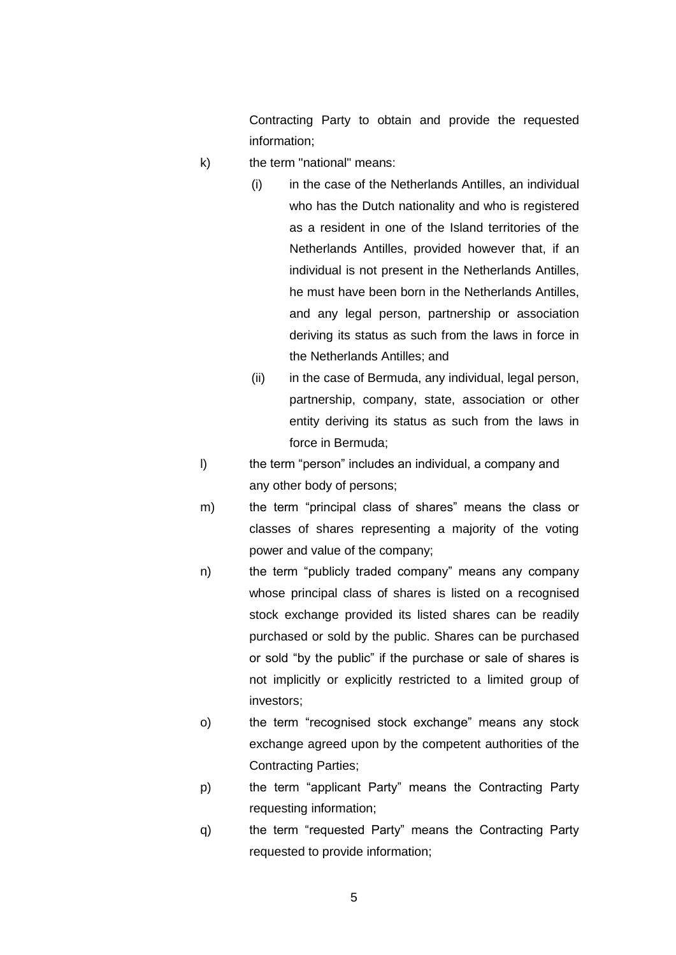Contracting Party to obtain and provide the requested information;

- k) the term "national" means:
	- (i) in the case of the Netherlands Antilles, an individual who has the Dutch nationality and who is registered as a resident in one of the Island territories of the Netherlands Antilles, provided however that, if an individual is not present in the Netherlands Antilles, he must have been born in the Netherlands Antilles, and any legal person, partnership or association deriving its status as such from the laws in force in the Netherlands Antilles; and
	- (ii) in the case of Bermuda, any individual, legal person, partnership, company, state, association or other entity deriving its status as such from the laws in force in Bermuda;
- l) the term "person" includes an individual, a company and any other body of persons;
- m) the term "principal class of shares" means the class or classes of shares representing a majority of the voting power and value of the company;
- n) the term "publicly traded company" means any company whose principal class of shares is listed on a recognised stock exchange provided its listed shares can be readily purchased or sold by the public. Shares can be purchased or sold "by the public" if the purchase or sale of shares is not implicitly or explicitly restricted to a limited group of investors;
- o) the term "recognised stock exchange" means any stock exchange agreed upon by the competent authorities of the Contracting Parties;
- p) the term "applicant Party" means the Contracting Party requesting information;
- q) the term "requested Party" means the Contracting Party requested to provide information;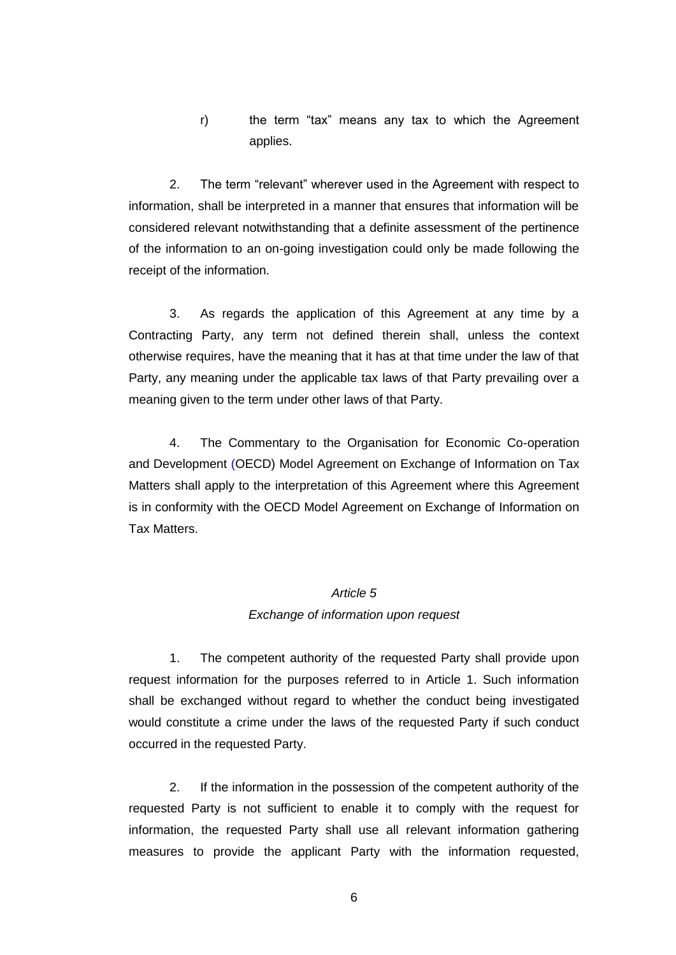r) the term "tax" means any tax to which the Agreement applies.

2. The term "relevant" wherever used in the Agreement with respect to information, shall be interpreted in a manner that ensures that information will be considered relevant notwithstanding that a definite assessment of the pertinence of the information to an on-going investigation could only be made following the receipt of the information.

3. As regards the application of this Agreement at any time by a Contracting Party, any term not defined therein shall, unless the context otherwise requires, have the meaning that it has at that time under the law of that Party, any meaning under the applicable tax laws of that Party prevailing over a meaning given to the term under other laws of that Party.

4. The Commentary to the Organisation for Economic Co-operation and Development (OECD) Model Agreement on Exchange of Information on Tax Matters shall apply to the interpretation of this Agreement where this Agreement is in conformity with the OECD Model Agreement on Exchange of Information on Tax Matters.

## *Article 5*

#### *Exchange of information upon request*

1. The competent authority of the requested Party shall provide upon request information for the purposes referred to in Article 1. Such information shall be exchanged without regard to whether the conduct being investigated would constitute a crime under the laws of the requested Party if such conduct occurred in the requested Party.

2. If the information in the possession of the competent authority of the requested Party is not sufficient to enable it to comply with the request for information, the requested Party shall use all relevant information gathering measures to provide the applicant Party with the information requested,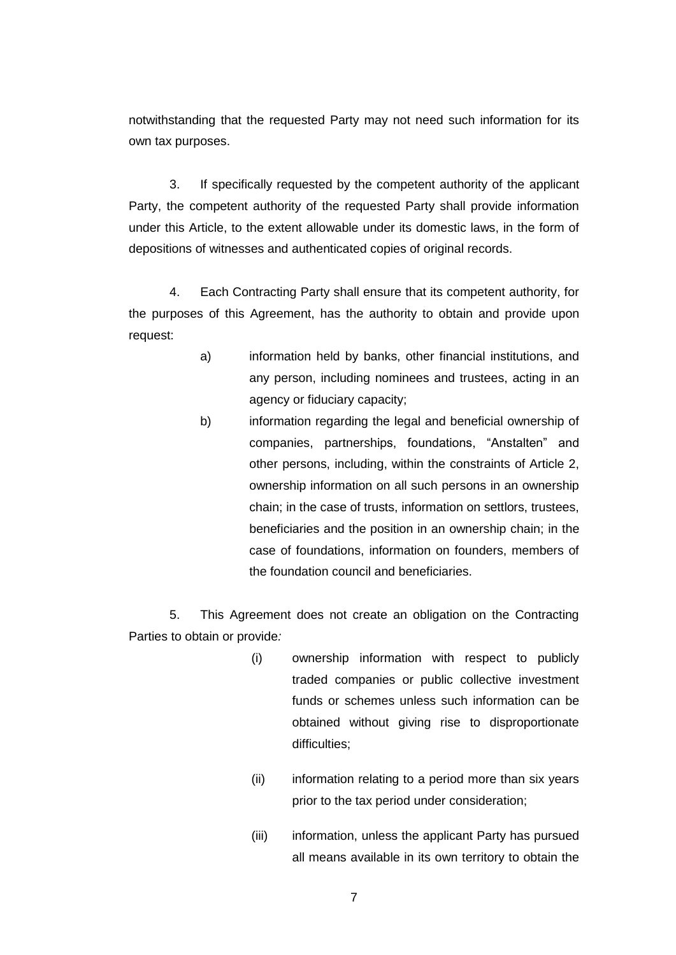notwithstanding that the requested Party may not need such information for its own tax purposes.

3. If specifically requested by the competent authority of the applicant Party, the competent authority of the requested Party shall provide information under this Article, to the extent allowable under its domestic laws, in the form of depositions of witnesses and authenticated copies of original records.

4. Each Contracting Party shall ensure that its competent authority, for the purposes of this Agreement, has the authority to obtain and provide upon request:

- a) information held by banks, other financial institutions, and any person, including nominees and trustees, acting in an agency or fiduciary capacity;
- b) information regarding the legal and beneficial ownership of companies, partnerships, foundations, "Anstalten" and other persons, including, within the constraints of Article 2, ownership information on all such persons in an ownership chain; in the case of trusts, information on settlors, trustees, beneficiaries and the position in an ownership chain; in the case of foundations, information on founders, members of the foundation council and beneficiaries.

5. This Agreement does not create an obligation on the Contracting Parties to obtain or provide*:*

- (i) ownership information with respect to publicly traded companies or public collective investment funds or schemes unless such information can be obtained without giving rise to disproportionate difficulties;
- (ii) information relating to a period more than six years prior to the tax period under consideration;
- (iii) information, unless the applicant Party has pursued all means available in its own territory to obtain the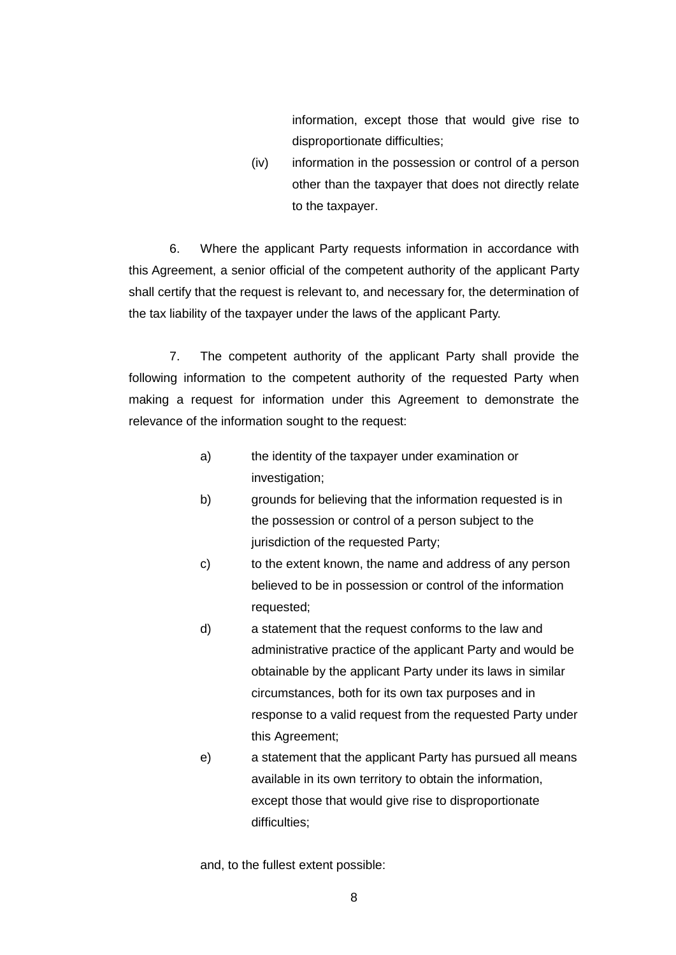information, except those that would give rise to disproportionate difficulties;

(iv) information in the possession or control of a person other than the taxpayer that does not directly relate to the taxpayer.

6. Where the applicant Party requests information in accordance with this Agreement, a senior official of the competent authority of the applicant Party shall certify that the request is relevant to, and necessary for, the determination of the tax liability of the taxpayer under the laws of the applicant Party.

7. The competent authority of the applicant Party shall provide the following information to the competent authority of the requested Party when making a request for information under this Agreement to demonstrate the relevance of the information sought to the request:

- a) the identity of the taxpayer under examination or investigation;
- b) grounds for believing that the information requested is in the possession or control of a person subject to the jurisdiction of the requested Party;
- c) to the extent known, the name and address of any person believed to be in possession or control of the information requested;
- d) a statement that the request conforms to the law and administrative practice of the applicant Party and would be obtainable by the applicant Party under its laws in similar circumstances, both for its own tax purposes and in response to a valid request from the requested Party under this Agreement;
- e) a statement that the applicant Party has pursued all means available in its own territory to obtain the information, except those that would give rise to disproportionate difficulties;

and, to the fullest extent possible: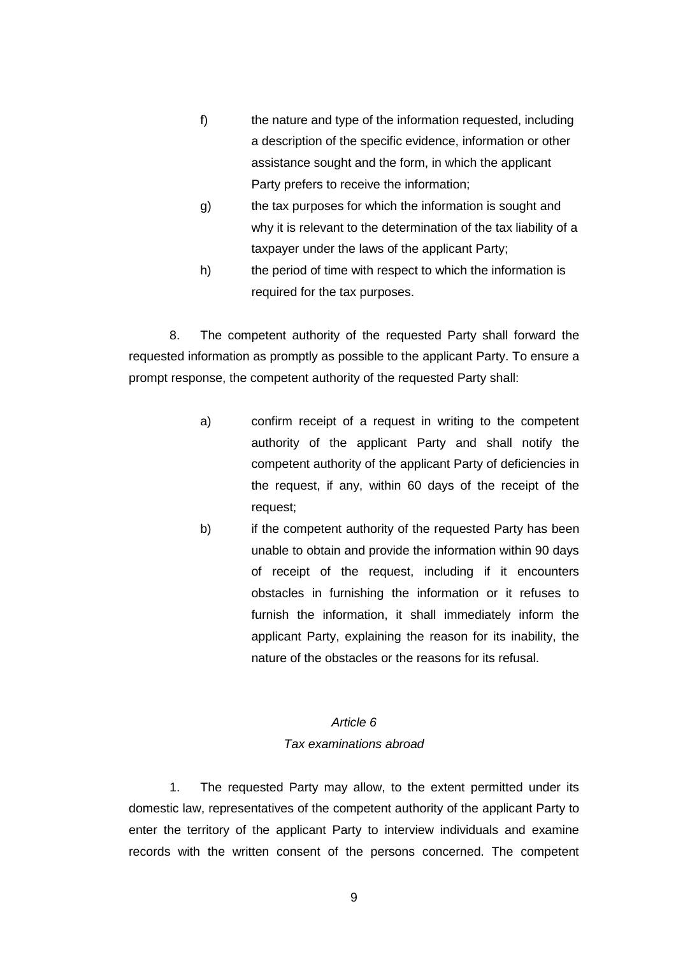- f) the nature and type of the information requested, including a description of the specific evidence, information or other assistance sought and the form, in which the applicant Party prefers to receive the information;
- g) the tax purposes for which the information is sought and why it is relevant to the determination of the tax liability of a taxpayer under the laws of the applicant Party;
- h) the period of time with respect to which the information is required for the tax purposes.

8. The competent authority of the requested Party shall forward the requested information as promptly as possible to the applicant Party. To ensure a prompt response, the competent authority of the requested Party shall:

- a) confirm receipt of a request in writing to the competent authority of the applicant Party and shall notify the competent authority of the applicant Party of deficiencies in the request, if any, within 60 days of the receipt of the request;
- b) if the competent authority of the requested Party has been unable to obtain and provide the information within 90 days of receipt of the request, including if it encounters obstacles in furnishing the information or it refuses to furnish the information, it shall immediately inform the applicant Party, explaining the reason for its inability, the nature of the obstacles or the reasons for its refusal.

## *Article 6 Tax examinations abroad*

1. The requested Party may allow, to the extent permitted under its domestic law, representatives of the competent authority of the applicant Party to enter the territory of the applicant Party to interview individuals and examine records with the written consent of the persons concerned. The competent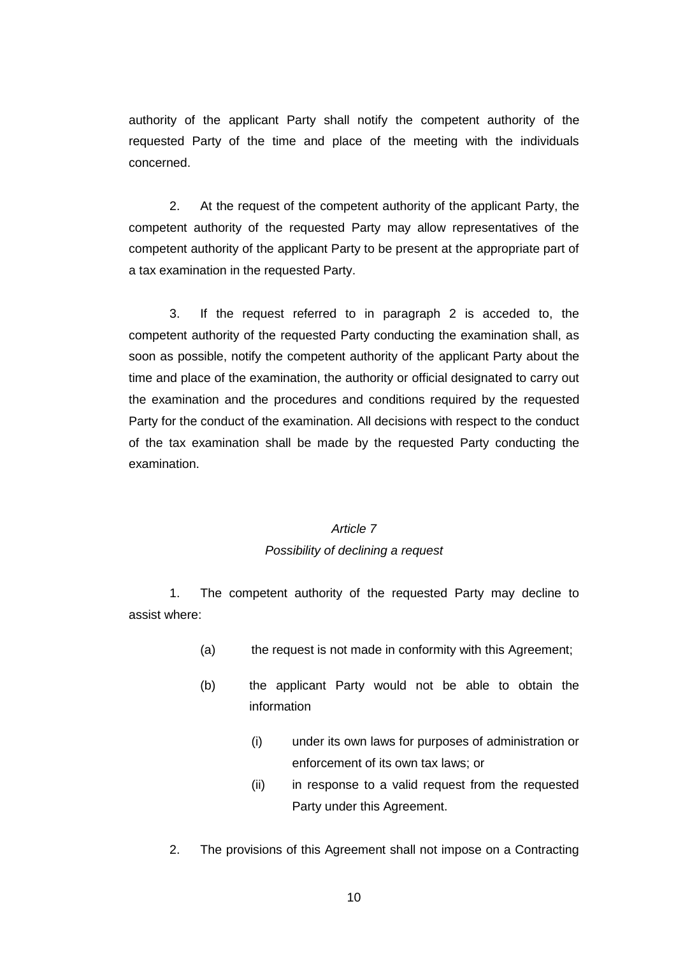authority of the applicant Party shall notify the competent authority of the requested Party of the time and place of the meeting with the individuals concerned.

2. At the request of the competent authority of the applicant Party, the competent authority of the requested Party may allow representatives of the competent authority of the applicant Party to be present at the appropriate part of a tax examination in the requested Party.

3. If the request referred to in paragraph 2 is acceded to, the competent authority of the requested Party conducting the examination shall, as soon as possible, notify the competent authority of the applicant Party about the time and place of the examination, the authority or official designated to carry out the examination and the procedures and conditions required by the requested Party for the conduct of the examination. All decisions with respect to the conduct of the tax examination shall be made by the requested Party conducting the examination.

## *Article 7 Possibility of declining a request*

1. The competent authority of the requested Party may decline to assist where:

- (a) the request is not made in conformity with this Agreement;
- (b) the applicant Party would not be able to obtain the information
	- (i) under its own laws for purposes of administration or enforcement of its own tax laws; or
	- (ii) in response to a valid request from the requested Party under this Agreement.
- 2. The provisions of this Agreement shall not impose on a Contracting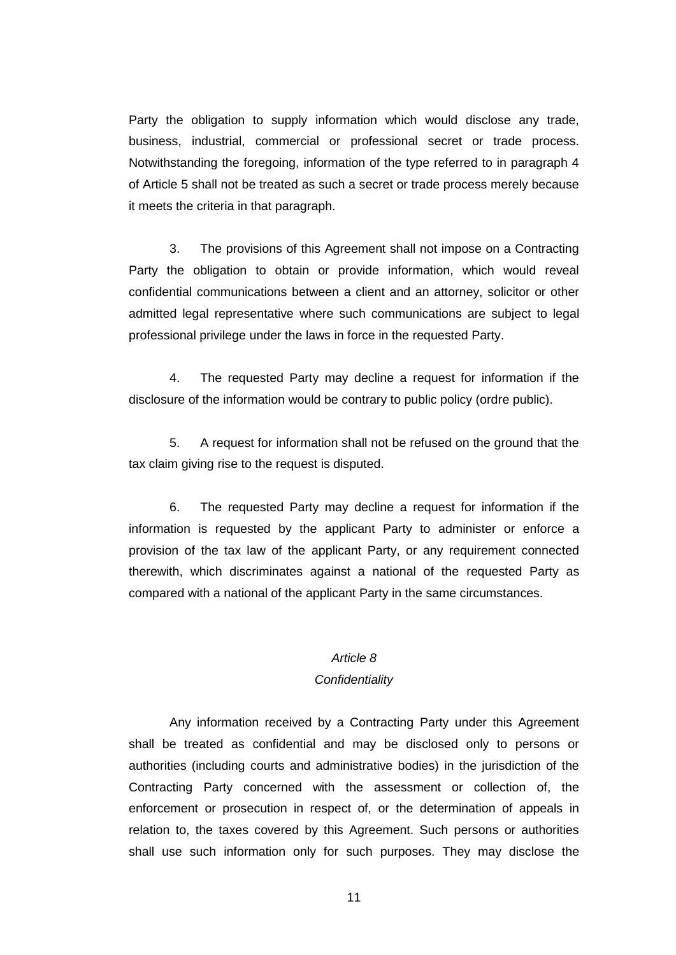Party the obligation to supply information which would disclose any trade, business, industrial, commercial or professional secret or trade process. Notwithstanding the foregoing, information of the type referred to in paragraph 4 of Article 5 shall not be treated as such a secret or trade process merely because it meets the criteria in that paragraph.

3. The provisions of this Agreement shall not impose on a Contracting Party the obligation to obtain or provide information, which would reveal confidential communications between a client and an attorney, solicitor or other admitted legal representative where such communications are subject to legal professional privilege under the laws in force in the requested Party.

4. The requested Party may decline a request for information if the disclosure of the information would be contrary to public policy (ordre public).

5. A request for information shall not be refused on the ground that the tax claim giving rise to the request is disputed.

6. The requested Party may decline a request for information if the information is requested by the applicant Party to administer or enforce a provision of the tax law of the applicant Party, or any requirement connected therewith, which discriminates against a national of the requested Party as compared with a national of the applicant Party in the same circumstances.

# *Article 8*

### *Confidentiality*

Any information received by a Contracting Party under this Agreement shall be treated as confidential and may be disclosed only to persons or authorities (including courts and administrative bodies) in the jurisdiction of the Contracting Party concerned with the assessment or collection of, the enforcement or prosecution in respect of, or the determination of appeals in relation to, the taxes covered by this Agreement. Such persons or authorities shall use such information only for such purposes. They may disclose the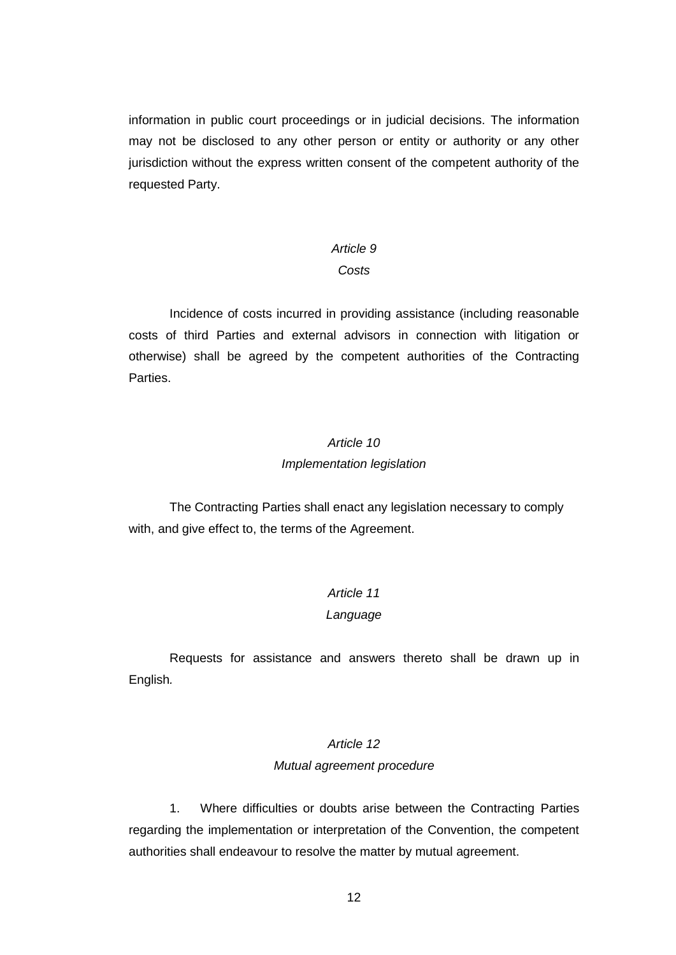information in public court proceedings or in judicial decisions. The information may not be disclosed to any other person or entity or authority or any other jurisdiction without the express written consent of the competent authority of the requested Party.

# *Article 9*

## *Costs*

Incidence of costs incurred in providing assistance (including reasonable costs of third Parties and external advisors in connection with litigation or otherwise) shall be agreed by the competent authorities of the Contracting Parties.

## *Article 10*

## *Implementation legislation*

The Contracting Parties shall enact any legislation necessary to comply with, and give effect to, the terms of the Agreement.

# *Article 11*

## *Language*

Requests for assistance and answers thereto shall be drawn up in English*.*

## *Article 12*

## *Mutual agreement procedure*

1. Where difficulties or doubts arise between the Contracting Parties regarding the implementation or interpretation of the Convention, the competent authorities shall endeavour to resolve the matter by mutual agreement.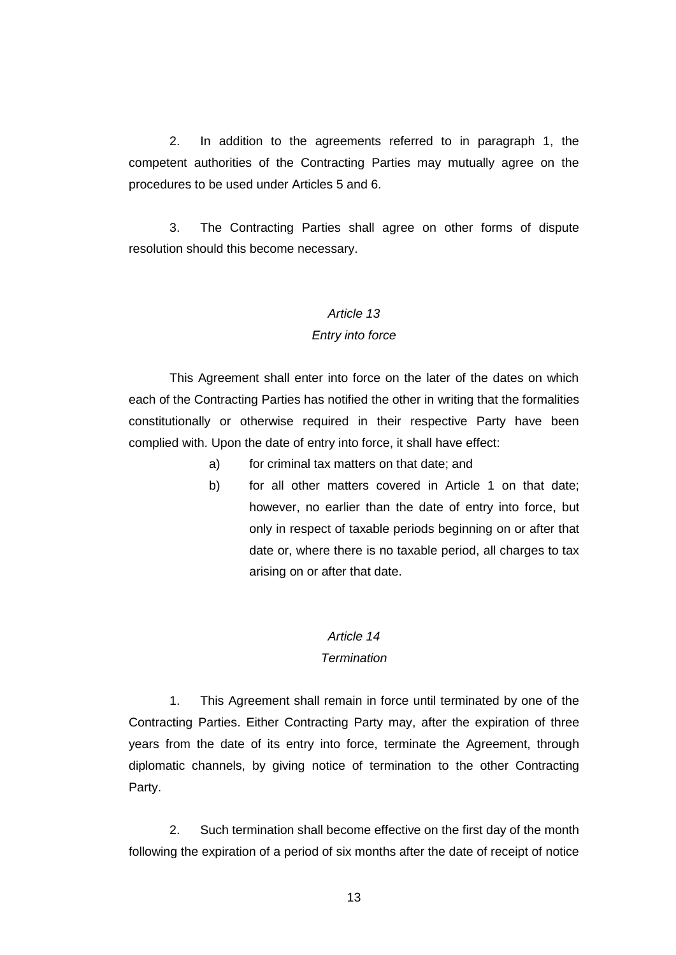2. In addition to the agreements referred to in paragraph 1, the competent authorities of the Contracting Parties may mutually agree on the procedures to be used under Articles 5 and 6.

3. The Contracting Parties shall agree on other forms of dispute resolution should this become necessary.

#### *Article 13*

#### *Entry into force*

This Agreement shall enter into force on the later of the dates on which each of the Contracting Parties has notified the other in writing that the formalities constitutionally or otherwise required in their respective Party have been complied with. Upon the date of entry into force, it shall have effect:

- a) for criminal tax matters on that date; and
- b) for all other matters covered in Article 1 on that date; however, no earlier than the date of entry into force, but only in respect of taxable periods beginning on or after that date or, where there is no taxable period, all charges to tax arising on or after that date.

## *Article 14 Termination*

# 1. This Agreement shall remain in force until terminated by one of the Contracting Parties. Either Contracting Party may, after the expiration of three years from the date of its entry into force, terminate the Agreement, through diplomatic channels, by giving notice of termination to the other Contracting Party.

2. Such termination shall become effective on the first day of the month following the expiration of a period of six months after the date of receipt of notice